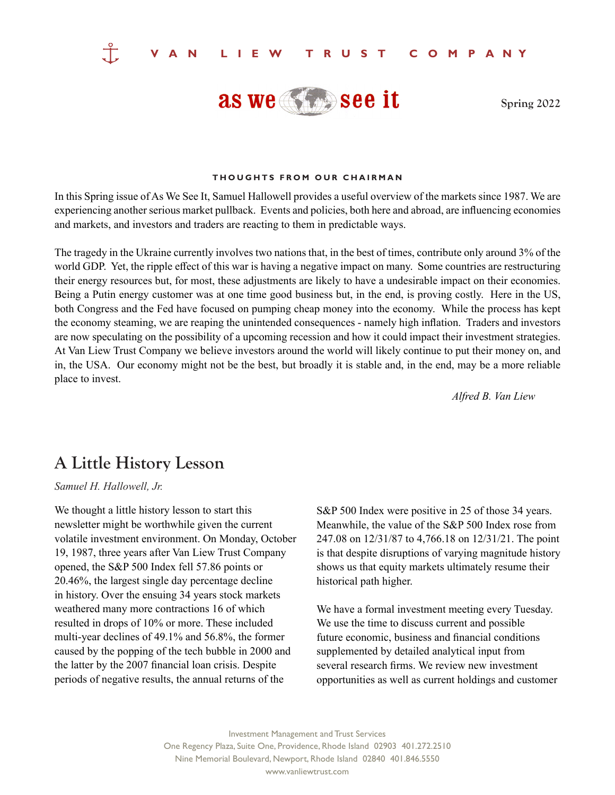

**Spring 2022**

## **THOUGHTS FROM OUR CHAIRMAN**

In this Spring issue of As We See It, Samuel Hallowell provides a useful overview of the markets since 1987. We are experiencing another serious market pullback. Events and policies, both here and abroad, are influencing economies and markets, and investors and traders are reacting to them in predictable ways.

The tragedy in the Ukraine currently involves two nations that, in the best of times, contribute only around 3% of the world GDP. Yet, the ripple effect of this war is having a negative impact on many. Some countries are restructuring their energy resources but, for most, these adjustments are likely to have a undesirable impact on their economies. Being a Putin energy customer was at one time good business but, in the end, is proving costly. Here in the US, both Congress and the Fed have focused on pumping cheap money into the economy. While the process has kept the economy steaming, we are reaping the unintended consequences - namely high inflation. Traders and investors are now speculating on the possibility of a upcoming recession and how it could impact their investment strategies. At Van Liew Trust Company we believe investors around the world will likely continue to put their money on, and in, the USA. Our economy might not be the best, but broadly it is stable and, in the end, may be a more reliable place to invest.

*Alfred B. Van Liew*

## **A Little History Lesson**

*Samuel H. Hallowell, Jr.*

We thought a little history lesson to start this newsletter might be worthwhile given the current volatile investment environment. On Monday, October 19, 1987, three years after Van Liew Trust Company opened, the S&P 500 Index fell 57.86 points or 20.46%, the largest single day percentage decline in history. Over the ensuing 34 years stock markets weathered many more contractions 16 of which resulted in drops of 10% or more. These included multi-year declines of 49.1% and 56.8%, the former caused by the popping of the tech bubble in 2000 and the latter by the 2007 financial loan crisis. Despite periods of negative results, the annual returns of the

S&P 500 Index were positive in 25 of those 34 years. Meanwhile, the value of the S&P 500 Index rose from 247.08 on 12/31/87 to 4,766.18 on 12/31/21. The point is that despite disruptions of varying magnitude history shows us that equity markets ultimately resume their historical path higher.

We have a formal investment meeting every Tuesday. We use the time to discuss current and possible future economic, business and financial conditions supplemented by detailed analytical input from several research firms. We review new investment opportunities as well as current holdings and customer

Investment Management and Trust Services One Regency Plaza, Suite One, Providence, Rhode Island 02903 401.272.2510 Nine Memorial Boulevard, Newport, Rhode Island 02840 401.846.5550 www.vanliewtrust.com